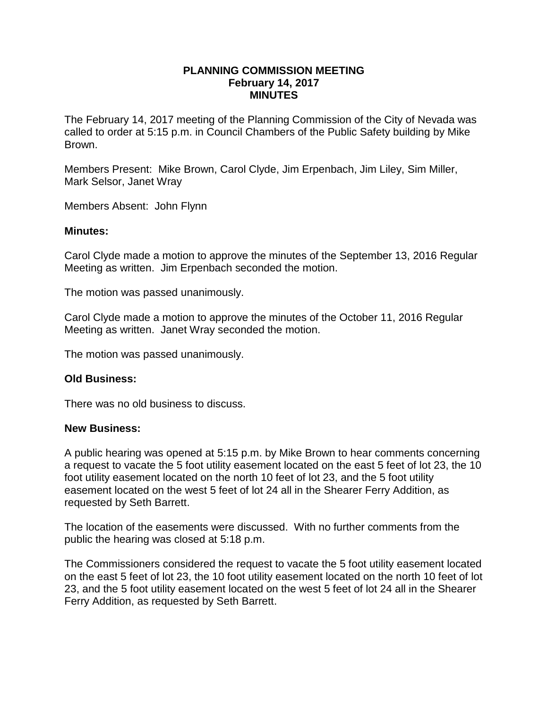### **PLANNING COMMISSION MEETING February 14, 2017 MINUTES**

The February 14, 2017 meeting of the Planning Commission of the City of Nevada was called to order at 5:15 p.m. in Council Chambers of the Public Safety building by Mike Brown.

Members Present: Mike Brown, Carol Clyde, Jim Erpenbach, Jim Liley, Sim Miller, Mark Selsor, Janet Wray

Members Absent: John Flynn

## **Minutes:**

Carol Clyde made a motion to approve the minutes of the September 13, 2016 Regular Meeting as written. Jim Erpenbach seconded the motion.

The motion was passed unanimously.

Carol Clyde made a motion to approve the minutes of the October 11, 2016 Regular Meeting as written. Janet Wray seconded the motion.

The motion was passed unanimously.

# **Old Business:**

There was no old business to discuss.

### **New Business:**

A public hearing was opened at 5:15 p.m. by Mike Brown to hear comments concerning a request to vacate the 5 foot utility easement located on the east 5 feet of lot 23, the 10 foot utility easement located on the north 10 feet of lot 23, and the 5 foot utility easement located on the west 5 feet of lot 24 all in the Shearer Ferry Addition, as requested by Seth Barrett.

The location of the easements were discussed. With no further comments from the public the hearing was closed at 5:18 p.m.

The Commissioners considered the request to vacate the 5 foot utility easement located on the east 5 feet of lot 23, the 10 foot utility easement located on the north 10 feet of lot 23, and the 5 foot utility easement located on the west 5 feet of lot 24 all in the Shearer Ferry Addition, as requested by Seth Barrett.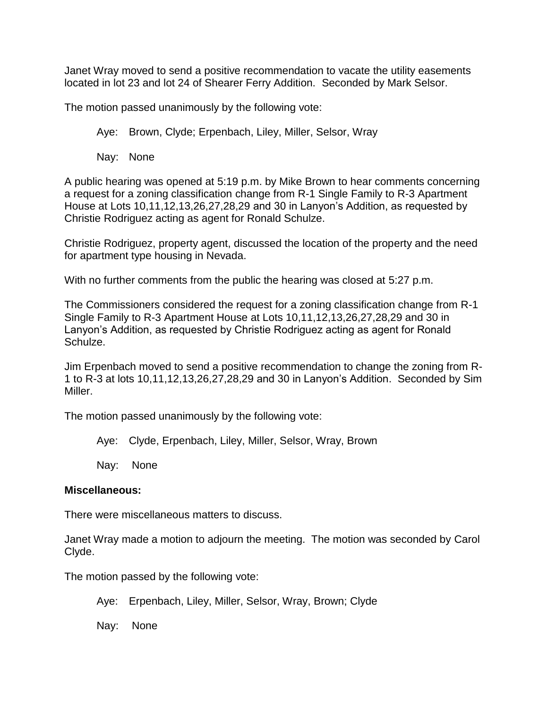Janet Wray moved to send a positive recommendation to vacate the utility easements located in lot 23 and lot 24 of Shearer Ferry Addition. Seconded by Mark Selsor.

The motion passed unanimously by the following vote:

Aye: Brown, Clyde; Erpenbach, Liley, Miller, Selsor, Wray

Nay: None

A public hearing was opened at 5:19 p.m. by Mike Brown to hear comments concerning a request for a zoning classification change from R-1 Single Family to R-3 Apartment House at Lots 10,11,12,13,26,27,28,29 and 30 in Lanyon's Addition, as requested by Christie Rodriguez acting as agent for Ronald Schulze.

Christie Rodriguez, property agent, discussed the location of the property and the need for apartment type housing in Nevada.

With no further comments from the public the hearing was closed at 5:27 p.m.

The Commissioners considered the request for a zoning classification change from R-1 Single Family to R-3 Apartment House at Lots 10,11,12,13,26,27,28,29 and 30 in Lanyon's Addition, as requested by Christie Rodriguez acting as agent for Ronald Schulze.

Jim Erpenbach moved to send a positive recommendation to change the zoning from R-1 to R-3 at lots 10,11,12,13,26,27,28,29 and 30 in Lanyon's Addition. Seconded by Sim Miller.

The motion passed unanimously by the following vote:

Aye: Clyde, Erpenbach, Liley, Miller, Selsor, Wray, Brown

Nay: None

### **Miscellaneous:**

There were miscellaneous matters to discuss.

Janet Wray made a motion to adjourn the meeting. The motion was seconded by Carol Clyde.

The motion passed by the following vote:

Aye: Erpenbach, Liley, Miller, Selsor, Wray, Brown; Clyde

Nay: None